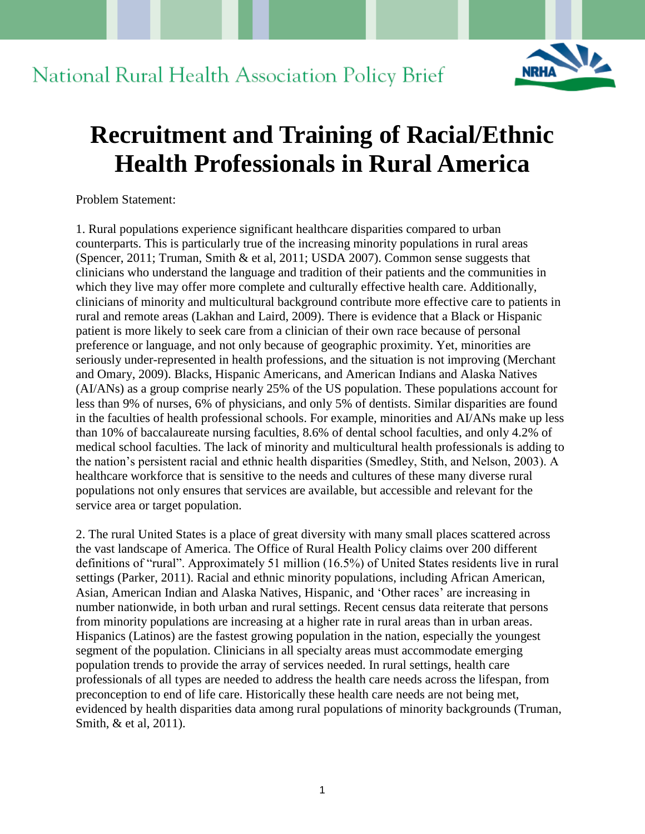# National Rural Health Association Policy Brief



# **Recruitment and Training of Racial/Ethnic Health Professionals in Rural America**

Problem Statement:

1. Rural populations experience significant healthcare disparities compared to urban counterparts. This is particularly true of the increasing minority populations in rural areas (Spencer, 2011; Truman, Smith & et al, 2011; USDA 2007). Common sense suggests that clinicians who understand the language and tradition of their patients and the communities in which they live may offer more complete and culturally effective health care. Additionally, clinicians of minority and multicultural background contribute more effective care to patients in rural and remote areas (Lakhan and Laird, 2009). There is evidence that a Black or Hispanic patient is more likely to seek care from a clinician of their own race because of personal preference or language, and not only because of geographic proximity. Yet, minorities are seriously under-represented in health professions, and the situation is not improving (Merchant and Omary, 2009). Blacks, Hispanic Americans, and American Indians and Alaska Natives (AI/ANs) as a group comprise nearly 25% of the US population. These populations account for less than 9% of nurses, 6% of physicians, and only 5% of dentists. Similar disparities are found in the faculties of health professional schools. For example, minorities and AI/ANs make up less than 10% of baccalaureate nursing faculties, 8.6% of dental school faculties, and only 4.2% of medical school faculties. The lack of minority and multicultural health professionals is adding to the nation's persistent racial and ethnic health disparities (Smedley, Stith, and Nelson, 2003). A healthcare workforce that is sensitive to the needs and cultures of these many diverse rural populations not only ensures that services are available, but accessible and relevant for the service area or target population.

2. The rural United States is a place of great diversity with many small places scattered across the vast landscape of America. The Office of Rural Health Policy claims over 200 different definitions of "rural". Approximately 51 million (16.5%) of United States residents live in rural settings (Parker, 2011). Racial and ethnic minority populations, including African American, Asian, American Indian and Alaska Natives, Hispanic, and 'Other races' are increasing in number nationwide, in both urban and rural settings. Recent census data reiterate that persons from minority populations are increasing at a higher rate in rural areas than in urban areas. Hispanics (Latinos) are the fastest growing population in the nation, especially the youngest segment of the population. Clinicians in all specialty areas must accommodate emerging population trends to provide the array of services needed. In rural settings, health care professionals of all types are needed to address the health care needs across the lifespan, from preconception to end of life care. Historically these health care needs are not being met, evidenced by health disparities data among rural populations of minority backgrounds (Truman, Smith, & et al, 2011).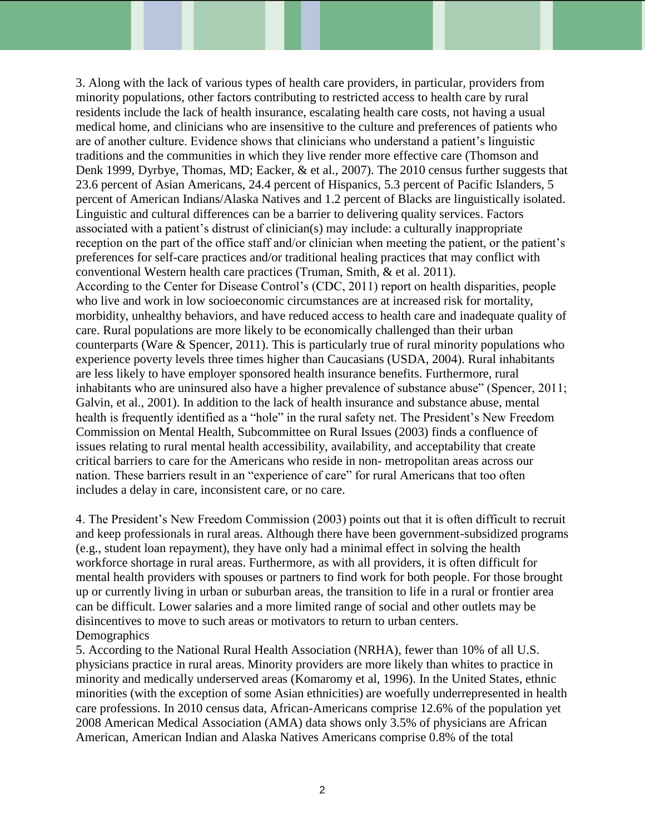3. Along with the lack of various types of health care providers, in particular, providers from minority populations, other factors contributing to restricted access to health care by rural residents include the lack of health insurance, escalating health care costs, not having a usual medical home, and clinicians who are insensitive to the culture and preferences of patients who are of another culture. Evidence shows that clinicians who understand a patient's linguistic traditions and the communities in which they live render more effective care (Thomson and Denk 1999, Dyrbye, Thomas, MD; Eacker, & et al., 2007). The 2010 census further suggests that 23.6 percent of Asian Americans, 24.4 percent of Hispanics, 5.3 percent of Pacific Islanders, 5 percent of American Indians/Alaska Natives and 1.2 percent of Blacks are linguistically isolated. Linguistic and cultural differences can be a barrier to delivering quality services. Factors associated with a patient's distrust of clinician(s) may include: a culturally inappropriate reception on the part of the office staff and/or clinician when meeting the patient, or the patient's preferences for self-care practices and/or traditional healing practices that may conflict with conventional Western health care practices (Truman, Smith, & et al. 2011). According to the Center for Disease Control's (CDC, 2011) report on health disparities, people who live and work in low socioeconomic circumstances are at increased risk for mortality, morbidity, unhealthy behaviors, and have reduced access to health care and inadequate quality of care. Rural populations are more likely to be economically challenged than their urban counterparts (Ware & Spencer, 2011). This is particularly true of rural minority populations who experience poverty levels three times higher than Caucasians (USDA, 2004). Rural inhabitants are less likely to have employer sponsored health insurance benefits. Furthermore, rural inhabitants who are uninsured also have a higher prevalence of substance abuse" (Spencer, 2011; Galvin, et al., 2001). In addition to the lack of health insurance and substance abuse, mental health is frequently identified as a "hole" in the rural safety net. The President's New Freedom Commission on Mental Health, Subcommittee on Rural Issues (2003) finds a confluence of issues relating to rural mental health accessibility, availability, and acceptability that create critical barriers to care for the Americans who reside in non- metropolitan areas across our nation. These barriers result in an "experience of care" for rural Americans that too often includes a delay in care, inconsistent care, or no care.

4. The President's New Freedom Commission (2003) points out that it is often difficult to recruit and keep professionals in rural areas. Although there have been government-subsidized programs (e.g., student loan repayment), they have only had a minimal effect in solving the health workforce shortage in rural areas. Furthermore, as with all providers, it is often difficult for mental health providers with spouses or partners to find work for both people. For those brought up or currently living in urban or suburban areas, the transition to life in a rural or frontier area can be difficult. Lower salaries and a more limited range of social and other outlets may be disincentives to move to such areas or motivators to return to urban centers. Demographics

5. According to the National Rural Health Association (NRHA), fewer than 10% of all U.S. physicians practice in rural areas. Minority providers are more likely than whites to practice in minority and medically underserved areas (Komaromy et al, 1996). In the United States, ethnic minorities (with the exception of some Asian ethnicities) are woefully underrepresented in health care professions. In 2010 census data, African-Americans comprise 12.6% of the population yet 2008 American Medical Association (AMA) data shows only 3.5% of physicians are African American, American Indian and Alaska Natives Americans comprise 0.8% of the total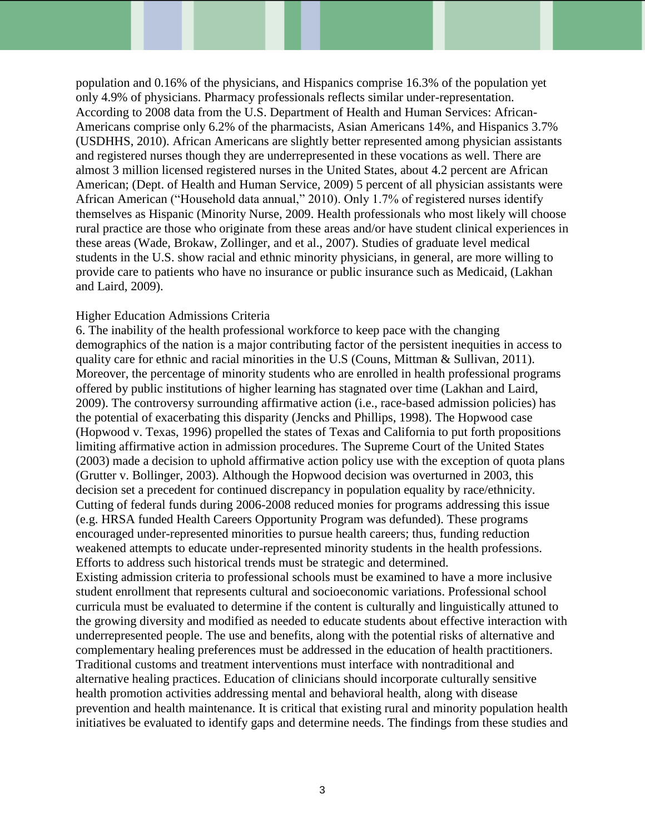population and 0.16% of the physicians, and Hispanics comprise 16.3% of the population yet only 4.9% of physicians. Pharmacy professionals reflects similar under-representation. According to 2008 data from the U.S. Department of Health and Human Services: African-Americans comprise only 6.2% of the pharmacists, Asian Americans 14%, and Hispanics 3.7% (USDHHS, 2010). African Americans are slightly better represented among physician assistants and registered nurses though they are underrepresented in these vocations as well. There are almost 3 million licensed registered nurses in the United States, about 4.2 percent are African American; (Dept. of Health and Human Service, 2009) 5 percent of all physician assistants were African American ("Household data annual," 2010). Only 1.7% of registered nurses identify themselves as Hispanic (Minority Nurse, 2009. Health professionals who most likely will choose rural practice are those who originate from these areas and/or have student clinical experiences in these areas (Wade, Brokaw, Zollinger, and et al., 2007). Studies of graduate level medical students in the U.S. show racial and ethnic minority physicians, in general, are more willing to provide care to patients who have no insurance or public insurance such as Medicaid, (Lakhan and Laird, 2009).

#### Higher Education Admissions Criteria

6. The inability of the health professional workforce to keep pace with the changing demographics of the nation is a major contributing factor of the persistent inequities in access to quality care for ethnic and racial minorities in the U.S (Couns, Mittman & Sullivan, 2011). Moreover, the percentage of minority students who are enrolled in health professional programs offered by public institutions of higher learning has stagnated over time (Lakhan and Laird, 2009). The controversy surrounding affirmative action (i.e., race-based admission policies) has the potential of exacerbating this disparity (Jencks and Phillips, 1998). The Hopwood case (Hopwood v. Texas, 1996) propelled the states of Texas and California to put forth propositions limiting affirmative action in admission procedures. The Supreme Court of the United States (2003) made a decision to uphold affirmative action policy use with the exception of quota plans (Grutter v. Bollinger, 2003). Although the Hopwood decision was overturned in 2003, this decision set a precedent for continued discrepancy in population equality by race/ethnicity. Cutting of federal funds during 2006-2008 reduced monies for programs addressing this issue (e.g. HRSA funded Health Careers Opportunity Program was defunded). These programs encouraged under-represented minorities to pursue health careers; thus, funding reduction weakened attempts to educate under-represented minority students in the health professions. Efforts to address such historical trends must be strategic and determined.

Existing admission criteria to professional schools must be examined to have a more inclusive student enrollment that represents cultural and socioeconomic variations. Professional school curricula must be evaluated to determine if the content is culturally and linguistically attuned to the growing diversity and modified as needed to educate students about effective interaction with underrepresented people. The use and benefits, along with the potential risks of alternative and complementary healing preferences must be addressed in the education of health practitioners. Traditional customs and treatment interventions must interface with nontraditional and alternative healing practices. Education of clinicians should incorporate culturally sensitive health promotion activities addressing mental and behavioral health, along with disease prevention and health maintenance. It is critical that existing rural and minority population health initiatives be evaluated to identify gaps and determine needs. The findings from these studies and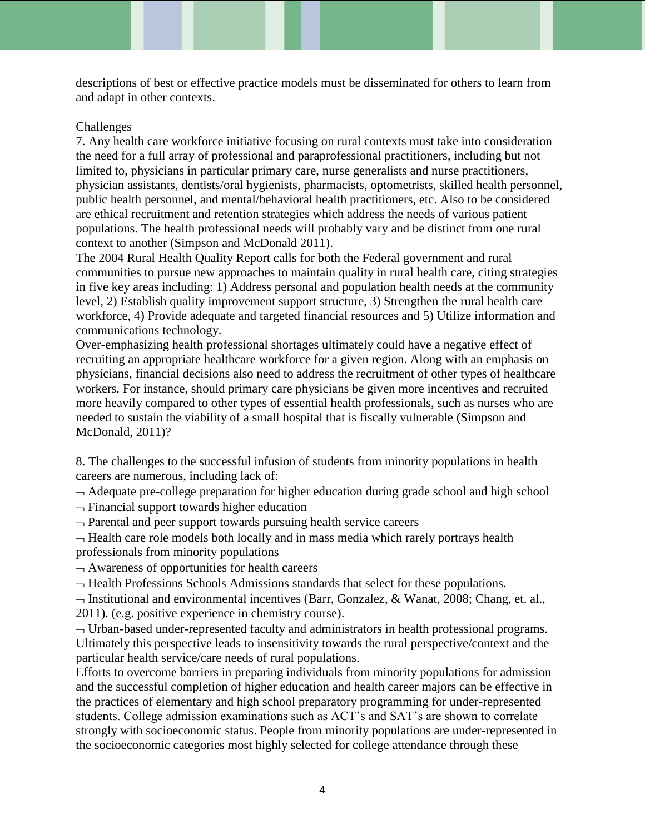descriptions of best or effective practice models must be disseminated for others to learn from and adapt in other contexts.

# Challenges

7. Any health care workforce initiative focusing on rural contexts must take into consideration the need for a full array of professional and paraprofessional practitioners, including but not limited to, physicians in particular primary care, nurse generalists and nurse practitioners, physician assistants, dentists/oral hygienists, pharmacists, optometrists, skilled health personnel, public health personnel, and mental/behavioral health practitioners, etc. Also to be considered are ethical recruitment and retention strategies which address the needs of various patient populations. The health professional needs will probably vary and be distinct from one rural context to another (Simpson and McDonald 2011).

The 2004 Rural Health Quality Report calls for both the Federal government and rural communities to pursue new approaches to maintain quality in rural health care, citing strategies in five key areas including: 1) Address personal and population health needs at the community level, 2) Establish quality improvement support structure, 3) Strengthen the rural health care workforce, 4) Provide adequate and targeted financial resources and 5) Utilize information and communications technology.

Over-emphasizing health professional shortages ultimately could have a negative effect of recruiting an appropriate healthcare workforce for a given region. Along with an emphasis on physicians, financial decisions also need to address the recruitment of other types of healthcare workers. For instance, should primary care physicians be given more incentives and recruited more heavily compared to other types of essential health professionals, such as nurses who are needed to sustain the viability of a small hospital that is fiscally vulnerable (Simpson and McDonald, 2011)?

8. The challenges to the successful infusion of students from minority populations in health careers are numerous, including lack of:

 $\rightarrow$  Adequate pre-college preparation for higher education during grade school and high school

 $\neg$  Financial support towards higher education

 $\neg$  Parental and peer support towards pursuing health service careers

 $\neg$  Health care role models both locally and in mass media which rarely portrays health professionals from minority populations

 $\neg$  Awareness of opportunities for health careers

 $\neg$  Health Professions Schools Admissions standards that select for these populations.

 $\neg$  Institutional and environmental incentives (Barr, Gonzalez, & Wanat, 2008; Chang, et. al., 2011). (e.g. positive experience in chemistry course).

 $\neg$  Urban-based under-represented faculty and administrators in health professional programs. Ultimately this perspective leads to insensitivity towards the rural perspective/context and the particular health service/care needs of rural populations.

Efforts to overcome barriers in preparing individuals from minority populations for admission and the successful completion of higher education and health career majors can be effective in the practices of elementary and high school preparatory programming for under-represented students. College admission examinations such as ACT's and SAT's are shown to correlate strongly with socioeconomic status. People from minority populations are under-represented in the socioeconomic categories most highly selected for college attendance through these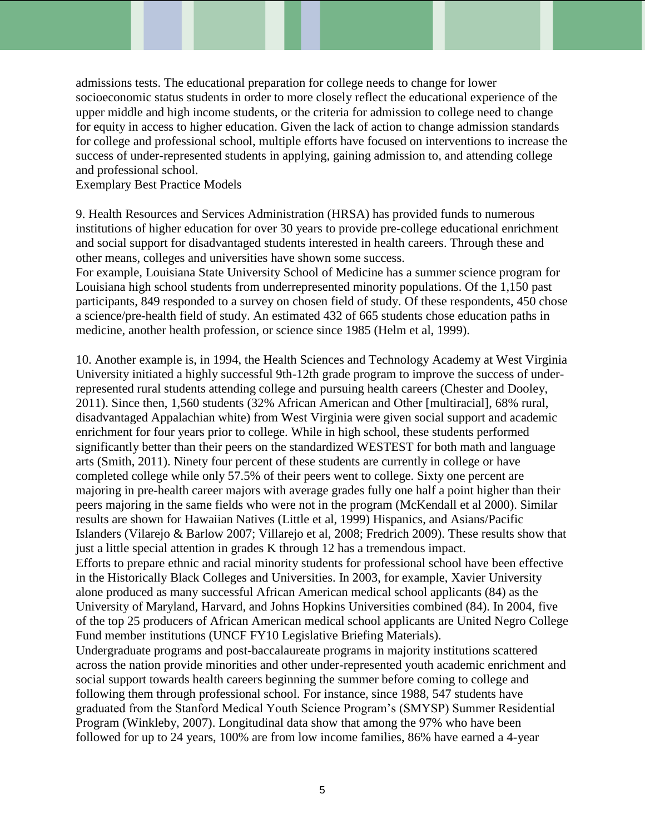admissions tests. The educational preparation for college needs to change for lower socioeconomic status students in order to more closely reflect the educational experience of the upper middle and high income students, or the criteria for admission to college need to change for equity in access to higher education. Given the lack of action to change admission standards for college and professional school, multiple efforts have focused on interventions to increase the success of under-represented students in applying, gaining admission to, and attending college and professional school.

Exemplary Best Practice Models

9. Health Resources and Services Administration (HRSA) has provided funds to numerous institutions of higher education for over 30 years to provide pre-college educational enrichment and social support for disadvantaged students interested in health careers. Through these and other means, colleges and universities have shown some success.

For example, Louisiana State University School of Medicine has a summer science program for Louisiana high school students from underrepresented minority populations. Of the 1,150 past participants, 849 responded to a survey on chosen field of study. Of these respondents, 450 chose a science/pre-health field of study. An estimated 432 of 665 students chose education paths in medicine, another health profession, or science since 1985 (Helm et al, 1999).

10. Another example is, in 1994, the Health Sciences and Technology Academy at West Virginia University initiated a highly successful 9th-12th grade program to improve the success of underrepresented rural students attending college and pursuing health careers (Chester and Dooley, 2011). Since then, 1,560 students (32% African American and Other [multiracial], 68% rural, disadvantaged Appalachian white) from West Virginia were given social support and academic enrichment for four years prior to college. While in high school, these students performed significantly better than their peers on the standardized WESTEST for both math and language arts (Smith, 2011). Ninety four percent of these students are currently in college or have completed college while only 57.5% of their peers went to college. Sixty one percent are majoring in pre-health career majors with average grades fully one half a point higher than their peers majoring in the same fields who were not in the program (McKendall et al 2000). Similar results are shown for Hawaiian Natives (Little et al, 1999) Hispanics, and Asians/Pacific Islanders (Vilarejo & Barlow 2007; Villarejo et al, 2008; Fredrich 2009). These results show that just a little special attention in grades K through 12 has a tremendous impact. Efforts to prepare ethnic and racial minority students for professional school have been effective in the Historically Black Colleges and Universities. In 2003, for example, Xavier University alone produced as many successful African American medical school applicants (84) as the University of Maryland, Harvard, and Johns Hopkins Universities combined (84). In 2004, five of the top 25 producers of African American medical school applicants are United Negro College Fund member institutions (UNCF FY10 Legislative Briefing Materials). Undergraduate programs and post-baccalaureate programs in majority institutions scattered across the nation provide minorities and other under-represented youth academic enrichment and social support towards health careers beginning the summer before coming to college and following them through professional school. For instance, since 1988, 547 students have graduated from the Stanford Medical Youth Science Program's (SMYSP) Summer Residential Program (Winkleby, 2007). Longitudinal data show that among the 97% who have been

followed for up to 24 years, 100% are from low income families, 86% have earned a 4-year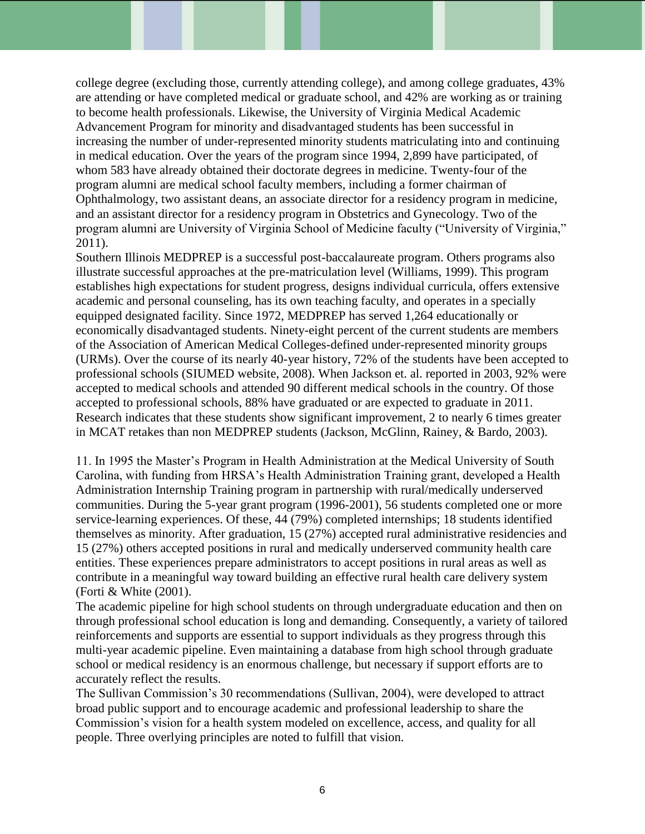college degree (excluding those, currently attending college), and among college graduates, 43% are attending or have completed medical or graduate school, and 42% are working as or training to become health professionals. Likewise, the University of Virginia Medical Academic Advancement Program for minority and disadvantaged students has been successful in increasing the number of under-represented minority students matriculating into and continuing in medical education. Over the years of the program since 1994, 2,899 have participated, of whom 583 have already obtained their doctorate degrees in medicine. Twenty-four of the program alumni are medical school faculty members, including a former chairman of Ophthalmology, two assistant deans, an associate director for a residency program in medicine, and an assistant director for a residency program in Obstetrics and Gynecology. Two of the program alumni are University of Virginia School of Medicine faculty ("University of Virginia," 2011).

Southern Illinois MEDPREP is a successful post-baccalaureate program. Others programs also illustrate successful approaches at the pre-matriculation level (Williams, 1999). This program establishes high expectations for student progress, designs individual curricula, offers extensive academic and personal counseling, has its own teaching faculty, and operates in a specially equipped designated facility. Since 1972, MEDPREP has served 1,264 educationally or economically disadvantaged students. Ninety-eight percent of the current students are members of the Association of American Medical Colleges-defined under-represented minority groups (URMs). Over the course of its nearly 40-year history, 72% of the students have been accepted to professional schools (SIUMED website, 2008). When Jackson et. al. reported in 2003, 92% were accepted to medical schools and attended 90 different medical schools in the country. Of those accepted to professional schools, 88% have graduated or are expected to graduate in 2011. Research indicates that these students show significant improvement, 2 to nearly 6 times greater in MCAT retakes than non MEDPREP students (Jackson, McGlinn, Rainey, & Bardo, 2003).

11. In 1995 the Master's Program in Health Administration at the Medical University of South Carolina, with funding from HRSA's Health Administration Training grant, developed a Health Administration Internship Training program in partnership with rural/medically underserved communities. During the 5-year grant program (1996-2001), 56 students completed one or more service-learning experiences. Of these, 44 (79%) completed internships; 18 students identified themselves as minority. After graduation, 15 (27%) accepted rural administrative residencies and 15 (27%) others accepted positions in rural and medically underserved community health care entities. These experiences prepare administrators to accept positions in rural areas as well as contribute in a meaningful way toward building an effective rural health care delivery system (Forti & White (2001).

The academic pipeline for high school students on through undergraduate education and then on through professional school education is long and demanding. Consequently, a variety of tailored reinforcements and supports are essential to support individuals as they progress through this multi-year academic pipeline. Even maintaining a database from high school through graduate school or medical residency is an enormous challenge, but necessary if support efforts are to accurately reflect the results.

The Sullivan Commission's 30 recommendations (Sullivan, 2004), were developed to attract broad public support and to encourage academic and professional leadership to share the Commission's vision for a health system modeled on excellence, access, and quality for all people. Three overlying principles are noted to fulfill that vision.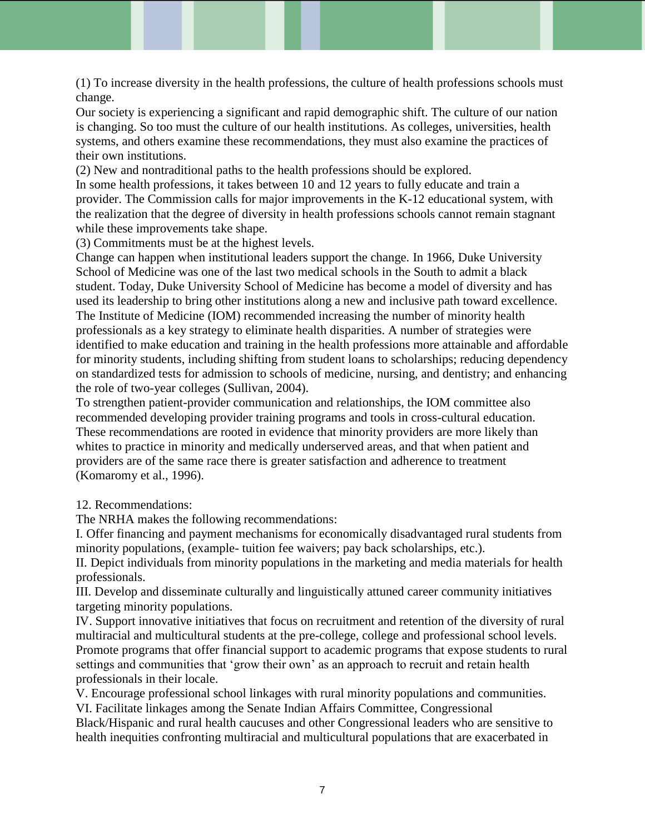(1) To increase diversity in the health professions, the culture of health professions schools must change.

Our society is experiencing a significant and rapid demographic shift. The culture of our nation is changing. So too must the culture of our health institutions. As colleges, universities, health systems, and others examine these recommendations, they must also examine the practices of their own institutions.

(2) New and nontraditional paths to the health professions should be explored.

In some health professions, it takes between 10 and 12 years to fully educate and train a provider. The Commission calls for major improvements in the K-12 educational system, with the realization that the degree of diversity in health professions schools cannot remain stagnant while these improvements take shape.

(3) Commitments must be at the highest levels.

Change can happen when institutional leaders support the change. In 1966, Duke University School of Medicine was one of the last two medical schools in the South to admit a black student. Today, Duke University School of Medicine has become a model of diversity and has used its leadership to bring other institutions along a new and inclusive path toward excellence. The Institute of Medicine (IOM) recommended increasing the number of minority health professionals as a key strategy to eliminate health disparities. A number of strategies were identified to make education and training in the health professions more attainable and affordable for minority students, including shifting from student loans to scholarships; reducing dependency on standardized tests for admission to schools of medicine, nursing, and dentistry; and enhancing the role of two-year colleges (Sullivan, 2004).

To strengthen patient-provider communication and relationships, the IOM committee also recommended developing provider training programs and tools in cross-cultural education. These recommendations are rooted in evidence that minority providers are more likely than whites to practice in minority and medically underserved areas, and that when patient and providers are of the same race there is greater satisfaction and adherence to treatment (Komaromy et al., 1996).

## 12. Recommendations:

The NRHA makes the following recommendations:

I. Offer financing and payment mechanisms for economically disadvantaged rural students from minority populations, (example- tuition fee waivers; pay back scholarships, etc.).

II. Depict individuals from minority populations in the marketing and media materials for health professionals.

III. Develop and disseminate culturally and linguistically attuned career community initiatives targeting minority populations.

IV. Support innovative initiatives that focus on recruitment and retention of the diversity of rural multiracial and multicultural students at the pre-college, college and professional school levels. Promote programs that offer financial support to academic programs that expose students to rural settings and communities that 'grow their own' as an approach to recruit and retain health professionals in their locale.

V. Encourage professional school linkages with rural minority populations and communities. VI. Facilitate linkages among the Senate Indian Affairs Committee, Congressional

Black/Hispanic and rural health caucuses and other Congressional leaders who are sensitive to health inequities confronting multiracial and multicultural populations that are exacerbated in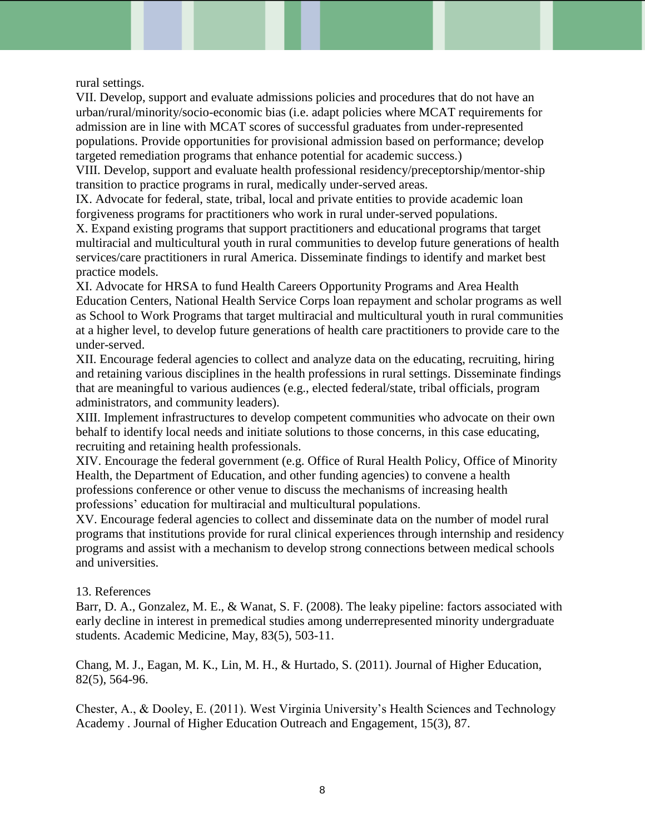rural settings.

VII. Develop, support and evaluate admissions policies and procedures that do not have an urban/rural/minority/socio-economic bias (i.e. adapt policies where MCAT requirements for admission are in line with MCAT scores of successful graduates from under-represented populations. Provide opportunities for provisional admission based on performance; develop targeted remediation programs that enhance potential for academic success.)

VIII. Develop, support and evaluate health professional residency/preceptorship/mentor-ship transition to practice programs in rural, medically under-served areas.

IX. Advocate for federal, state, tribal, local and private entities to provide academic loan forgiveness programs for practitioners who work in rural under-served populations.

X. Expand existing programs that support practitioners and educational programs that target multiracial and multicultural youth in rural communities to develop future generations of health services/care practitioners in rural America. Disseminate findings to identify and market best practice models.

XI. Advocate for HRSA to fund Health Careers Opportunity Programs and Area Health Education Centers, National Health Service Corps loan repayment and scholar programs as well as School to Work Programs that target multiracial and multicultural youth in rural communities at a higher level, to develop future generations of health care practitioners to provide care to the under-served.

XII. Encourage federal agencies to collect and analyze data on the educating, recruiting, hiring and retaining various disciplines in the health professions in rural settings. Disseminate findings that are meaningful to various audiences (e.g., elected federal/state, tribal officials, program administrators, and community leaders).

XIII. Implement infrastructures to develop competent communities who advocate on their own behalf to identify local needs and initiate solutions to those concerns, in this case educating, recruiting and retaining health professionals.

XIV. Encourage the federal government (e.g. Office of Rural Health Policy, Office of Minority Health, the Department of Education, and other funding agencies) to convene a health professions conference or other venue to discuss the mechanisms of increasing health professions' education for multiracial and multicultural populations.

XV. Encourage federal agencies to collect and disseminate data on the number of model rural programs that institutions provide for rural clinical experiences through internship and residency programs and assist with a mechanism to develop strong connections between medical schools and universities.

## 13. References

Barr, D. A., Gonzalez, M. E., & Wanat, S. F. (2008). The leaky pipeline: factors associated with early decline in interest in premedical studies among underrepresented minority undergraduate students. Academic Medicine, May, 83(5), 503-11.

Chang, M. J., Eagan, M. K., Lin, M. H., & Hurtado, S. (2011). Journal of Higher Education, 82(5), 564-96.

Chester, A., & Dooley, E. (2011). West Virginia University's Health Sciences and Technology Academy . Journal of Higher Education Outreach and Engagement, 15(3), 87.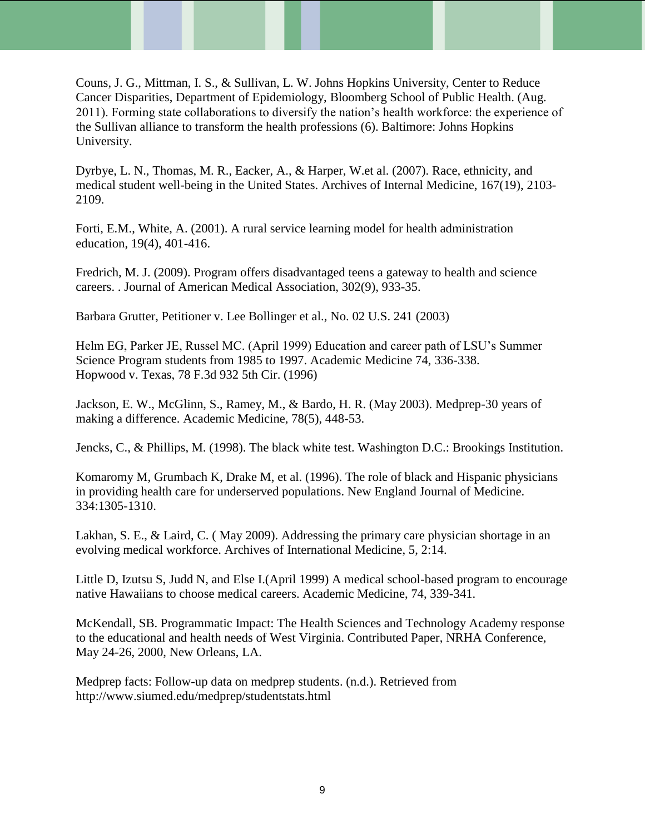Couns, J. G., Mittman, I. S., & Sullivan, L. W. Johns Hopkins University, Center to Reduce Cancer Disparities, Department of Epidemiology, Bloomberg School of Public Health. (Aug. 2011). Forming state collaborations to diversify the nation's health workforce: the experience of the Sullivan alliance to transform the health professions (6). Baltimore: Johns Hopkins University.

Dyrbye, L. N., Thomas, M. R., Eacker, A., & Harper, W.et al. (2007). Race, ethnicity, and medical student well-being in the United States. Archives of Internal Medicine, 167(19), 2103- 2109.

Forti, E.M., White, A. (2001). A rural service learning model for health administration education, 19(4), 401-416.

Fredrich, M. J. (2009). Program offers disadvantaged teens a gateway to health and science careers. . Journal of American Medical Association, 302(9), 933-35.

Barbara Grutter, Petitioner v. Lee Bollinger et al., No. 02 U.S. 241 (2003)

Helm EG, Parker JE, Russel MC. (April 1999) Education and career path of LSU's Summer Science Program students from 1985 to 1997. Academic Medicine 74, 336-338. Hopwood v. Texas, 78 F.3d 932 5th Cir. (1996)

Jackson, E. W., McGlinn, S., Ramey, M., & Bardo, H. R. (May 2003). Medprep-30 years of making a difference. Academic Medicine, 78(5), 448-53.

Jencks, C., & Phillips, M. (1998). The black white test. Washington D.C.: Brookings Institution.

Komaromy M, Grumbach K, Drake M, et al. (1996). The role of black and Hispanic physicians in providing health care for underserved populations. New England Journal of Medicine. 334:1305-1310.

Lakhan, S. E., & Laird, C. ( May 2009). Addressing the primary care physician shortage in an evolving medical workforce. Archives of International Medicine, 5, 2:14.

Little D, Izutsu S, Judd N, and Else I.(April 1999) A medical school-based program to encourage native Hawaiians to choose medical careers. Academic Medicine, 74, 339-341.

McKendall, SB. Programmatic Impact: The Health Sciences and Technology Academy response to the educational and health needs of West Virginia. Contributed Paper, NRHA Conference, May 24-26, 2000, New Orleans, LA.

Medprep facts: Follow-up data on medprep students. (n.d.). Retrieved from http://www.siumed.edu/medprep/studentstats.html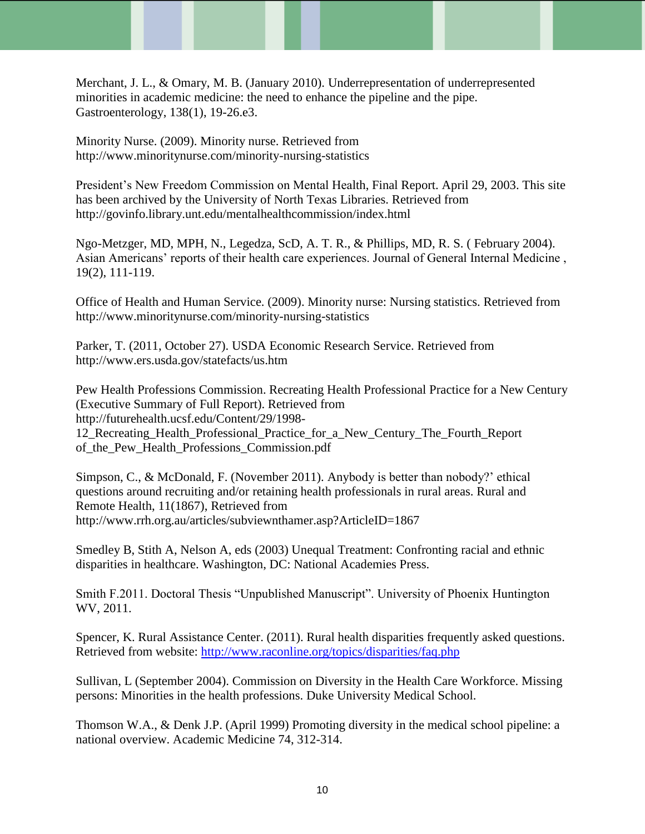Merchant, J. L., & Omary, M. B. (January 2010). Underrepresentation of underrepresented minorities in academic medicine: the need to enhance the pipeline and the pipe. Gastroenterology, 138(1), 19-26.e3.

Minority Nurse. (2009). Minority nurse. Retrieved from http://www.minoritynurse.com/minority-nursing-statistics

President's New Freedom Commission on Mental Health, Final Report. April 29, 2003. This site has been archived by the University of North Texas Libraries. Retrieved from http://govinfo.library.unt.edu/mentalhealthcommission/index.html

Ngo-Metzger, MD, MPH, N., Legedza, ScD, A. T. R., & Phillips, MD, R. S. ( February 2004). Asian Americans' reports of their health care experiences. Journal of General Internal Medicine , 19(2), 111-119.

Office of Health and Human Service. (2009). Minority nurse: Nursing statistics. Retrieved from http://www.minoritynurse.com/minority-nursing-statistics

Parker, T. (2011, October 27). USDA Economic Research Service. Retrieved from http://www.ers.usda.gov/statefacts/us.htm

Pew Health Professions Commission. Recreating Health Professional Practice for a New Century (Executive Summary of Full Report). Retrieved from http://futurehealth.ucsf.edu/Content/29/1998- 12\_Recreating\_Health\_Professional\_Practice\_for\_a\_New\_Century\_The\_Fourth\_Report of\_the\_Pew\_Health\_Professions\_Commission.pdf

Simpson, C., & McDonald, F. (November 2011). Anybody is better than nobody?' ethical questions around recruiting and/or retaining health professionals in rural areas. Rural and Remote Health, 11(1867), Retrieved from http://www.rrh.org.au/articles/subviewnthamer.asp?ArticleID=1867

Smedley B, Stith A, Nelson A, eds (2003) Unequal Treatment: Confronting racial and ethnic disparities in healthcare. Washington, DC: National Academies Press.

Smith F.2011. Doctoral Thesis "Unpublished Manuscript". University of Phoenix Huntington WV, 2011.

Spencer, K. Rural Assistance Center. (2011). Rural health disparities frequently asked questions. Retrieved from website:<http://www.raconline.org/topics/disparities/faq.php>

Sullivan, L (September 2004). Commission on Diversity in the Health Care Workforce. Missing persons: Minorities in the health professions. Duke University Medical School.

Thomson W.A., & Denk J.P. (April 1999) Promoting diversity in the medical school pipeline: a national overview. Academic Medicine 74, 312-314.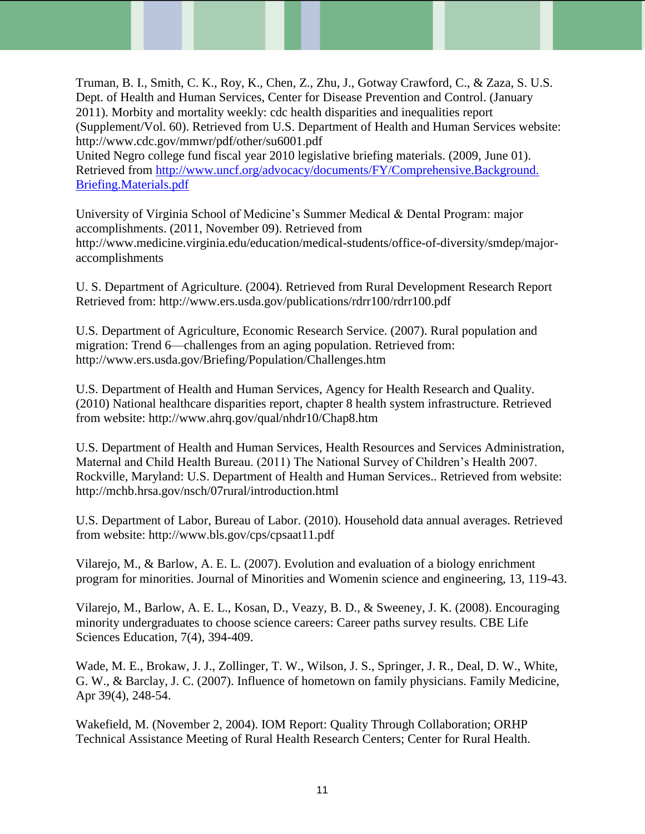Truman, B. I., Smith, C. K., Roy, K., Chen, Z., Zhu, J., Gotway Crawford, C., & Zaza, S. U.S. Dept. of Health and Human Services, Center for Disease Prevention and Control. (January 2011). Morbity and mortality weekly: cdc health disparities and inequalities report (Supplement/Vol. 60). Retrieved from U.S. Department of Health and Human Services website: http://www.cdc.gov/mmwr/pdf/other/su6001.pdf United Negro college fund fiscal year 2010 legislative briefing materials. (2009, June 01).

Retrieved from [http://www.uncf.org/advocacy/documents/FY/Comprehensive.Background.](http://www.uncf.org/advocacy/documents/FY/Comprehensive.Background.%20Briefing.Materials.pdf)  [Briefing.Materials.pdf](http://www.uncf.org/advocacy/documents/FY/Comprehensive.Background.%20Briefing.Materials.pdf)

University of Virginia School of Medicine's Summer Medical & Dental Program: major accomplishments. (2011, November 09). Retrieved from http://www.medicine.virginia.edu/education/medical-students/office-of-diversity/smdep/majoraccomplishments

U. S. Department of Agriculture. (2004). Retrieved from Rural Development Research Report Retrieved from: http://www.ers.usda.gov/publications/rdrr100/rdrr100.pdf

U.S. Department of Agriculture, Economic Research Service. (2007). Rural population and migration: Trend 6—challenges from an aging population. Retrieved from: http://www.ers.usda.gov/Briefing/Population/Challenges.htm

U.S. Department of Health and Human Services, Agency for Health Research and Quality. (2010) National healthcare disparities report, chapter 8 health system infrastructure. Retrieved from website: http://www.ahrq.gov/qual/nhdr10/Chap8.htm

U.S. Department of Health and Human Services, Health Resources and Services Administration, Maternal and Child Health Bureau. (2011) The National Survey of Children's Health 2007. Rockville, Maryland: U.S. Department of Health and Human Services.. Retrieved from website: http://mchb.hrsa.gov/nsch/07rural/introduction.html

U.S. Department of Labor, Bureau of Labor. (2010). Household data annual averages. Retrieved from website: http://www.bls.gov/cps/cpsaat11.pdf

Vilarejo, M., & Barlow, A. E. L. (2007). Evolution and evaluation of a biology enrichment program for minorities. Journal of Minorities and Womenin science and engineering, 13, 119-43.

Vilarejo, M., Barlow, A. E. L., Kosan, D., Veazy, B. D., & Sweeney, J. K. (2008). Encouraging minority undergraduates to choose science careers: Career paths survey results. CBE Life Sciences Education, 7(4), 394-409.

Wade, M. E., Brokaw, J. J., Zollinger, T. W., Wilson, J. S., Springer, J. R., Deal, D. W., White, G. W., & Barclay, J. C. (2007). Influence of hometown on family physicians. Family Medicine, Apr 39(4), 248-54.

Wakefield, M. (November 2, 2004). IOM Report: Quality Through Collaboration; ORHP Technical Assistance Meeting of Rural Health Research Centers; Center for Rural Health.